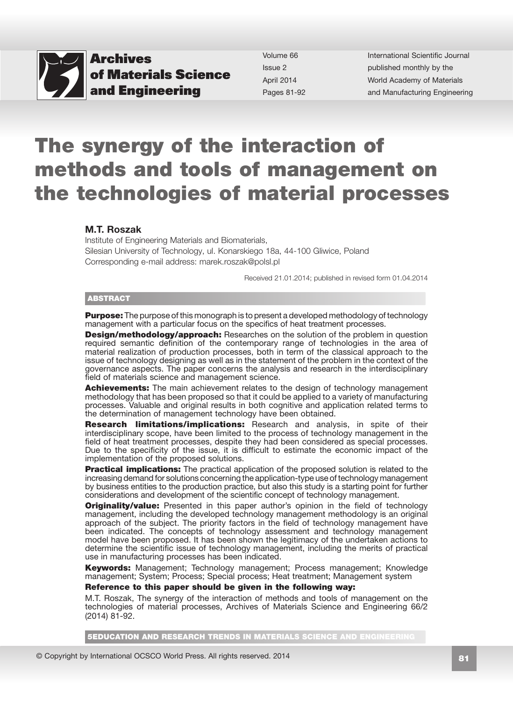

Volume 66 Issue 2 April 2014 Pages 81-92 International Scientific Journal published monthly by the World Academy of Materials and Manufacturing Engineering

# The synergy of the interaction of methods and tools of management on the technologies of material processes

#### M.T. Roszak

Institute of Engineering Materials and Biomaterials, Silesian University of Technology, ul. Konarskiego 18a, 44-100 Gliwice, Poland Corresponding e-mail address: marek.roszak@polsl.pl

Received 21.01.2014; published in revised form 01.04.2014

#### **ABSTRACT**

**Purpose:** The purpose of this monograph is to present a developed methodology of technology management with a particular focus on the specifics of heat treatment processes.

**Design/methodology/approach:** Researches on the solution of the problem in question required semantic definition of the contemporary range of technologies in the area of material realization of production processes, both in term of the classical approach to the issue of technology designing as well as in the statement of the problem in the context of the governance aspects. The paper concerns the analysis and research in the interdisciplinary field of materials science and management science.

Achievements: The main achievement relates to the design of technology management methodology that has been proposed so that it could be applied to a variety of manufacturing processes. Valuable and original results in both cognitive and application related terms to the determination of management technology have been obtained.

Research limitations/implications: Research and analysis, in spite of their interdisciplinary scope, have been limited to the process of technology management in the field of heat treatment processes, despite they had been considered as special processes. Due to the specificity of the issue, it is difficult to estimate the economic impact of the implementation of the proposed solutions.

**Practical implications:** The practical application of the proposed solution is related to the increasing demand for solutions concerning the application-type use of technology management by business entities to the production practice, but also this study is a starting point for further considerations and development of the scientific concept of technology management.

**Originality/value:** Presented in this paper author's opinion in the field of technology management, including the developed technology management methodology is an original approach of the subject. The priority factors in the field of technology management have been indicated. The concepts of technology assessment and technology management model have been proposed. It has been shown the legitimacy of the undertaken actions to determine the scientific issue of technology management, including the merits of practical use in manufacturing processes has been indicated.

**Keywords:** Management; Technology management; Process management; Knowledge management; System; Process; Special process; Heat treatment; Management system

#### Reference to this paper should be given in the following way:

M.T. Roszak, The synergy of the interaction of methods and tools of management on the technologies of material processes, Archives of Materials Science and Engineering 66/2 (2014) 81-92.

5EDUCATION AND RESEARCH TRENDS IN MATERIALS SCIENCE AND ENGINEERING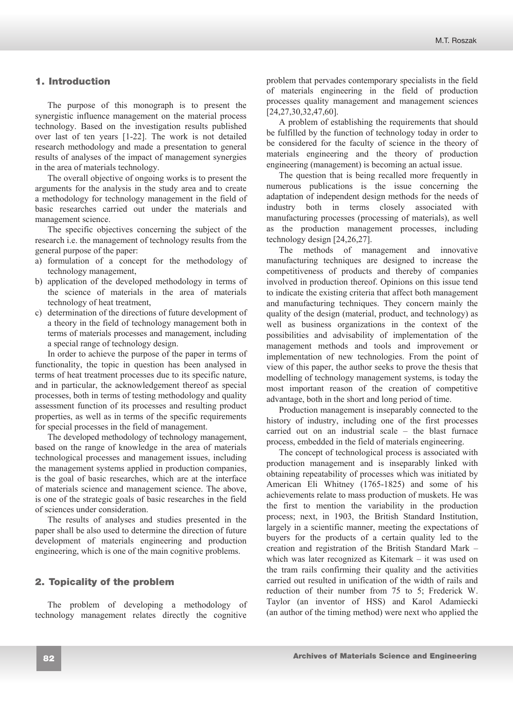# **1. Introduction**  1. Introduction

The purpose of this monograph is to present the synergistic influence management on the material process technology. Based on the investigation results published over last of ten years [1-22]. The work is not detailed research methodology and made a presentation to general results of analyses of the impact of management synergies in the area of materials technology.

The overall objective of ongoing works is to present the arguments for the analysis in the study area and to create a methodology for technology management in the field of basic researches carried out under the materials and management science.

The specific objectives concerning the subject of the research i.e. the management of technology results from the general purpose of the paper:

- a) formulation of a concept for the methodology of technology management,
- b) application of the developed methodology in terms of the science of materials in the area of materials technology of heat treatment,
- c) determination of the directions of future development of a theory in the field of technology management both in terms of materials processes and management, including a special range of technology design.

In order to achieve the purpose of the paper in terms of functionality, the topic in question has been analysed in terms of heat treatment processes due to its specific nature, and in particular, the acknowledgement thereof as special processes, both in terms of testing methodology and quality assessment function of its processes and resulting product properties, as well as in terms of the specific requirements for special processes in the field of management.

The developed methodology of technology management, based on the range of knowledge in the area of materials technological processes and management issues, including the management systems applied in production companies, is the goal of basic researches, which are at the interface of materials science and management science. The above, is one of the strategic goals of basic researches in the field of sciences under consideration.

The results of analyses and studies presented in the paper shall be also used to determine the direction of future development of materials engineering and production engineering, which is one of the main cognitive problems.

# **2. Topicality of the problem**  2. Topicality of the problem

The problem of developing a methodology of technology management relates directly the cognitive problem that pervades contemporary specialists in the field of materials engineering in the field of production processes quality management and management sciences [24,27,30,32,47,60].

A problem of establishing the requirements that should be fulfilled by the function of technology today in order to be considered for the faculty of science in the theory of materials engineering and the theory of production engineering (management) is becoming an actual issue.

The question that is being recalled more frequently in numerous publications is the issue concerning the adaptation of independent design methods for the needs of industry both in terms closely associated with manufacturing processes (processing of materials), as well as the production management processes, including technology design [24,26,27].

The methods of management and innovative manufacturing techniques are designed to increase the competitiveness of products and thereby of companies involved in production thereof. Opinions on this issue tend to indicate the existing criteria that affect both management and manufacturing techniques. They concern mainly the quality of the design (material, product, and technology) as well as business organizations in the context of the possibilities and advisability of implementation of the management methods and tools and improvement or implementation of new technologies. From the point of view of this paper, the author seeks to prove the thesis that modelling of technology management systems, is today the most important reason of the creation of competitive advantage, both in the short and long period of time.

Production management is inseparably connected to the history of industry, including one of the first processes carried out on an industrial scale – the blast furnace process, embedded in the field of materials engineering.

The concept of technological process is associated with production management and is inseparably linked with obtaining repeatability of processes which was initiated by American Eli Whitney (1765-1825) and some of his achievements relate to mass production of muskets. He was the first to mention the variability in the production process; next, in 1903, the British Standard Institution, largely in a scientific manner, meeting the expectations of buyers for the products of a certain quality led to the creation and registration of the British Standard Mark – which was later recognized as Kitemark – it was used on the tram rails confirming their quality and the activities carried out resulted in unification of the width of rails and reduction of their number from 75 to 5; Frederick W. Taylor (an inventor of HSS) and Karol Adamiecki (an author of the timing method) were next who applied the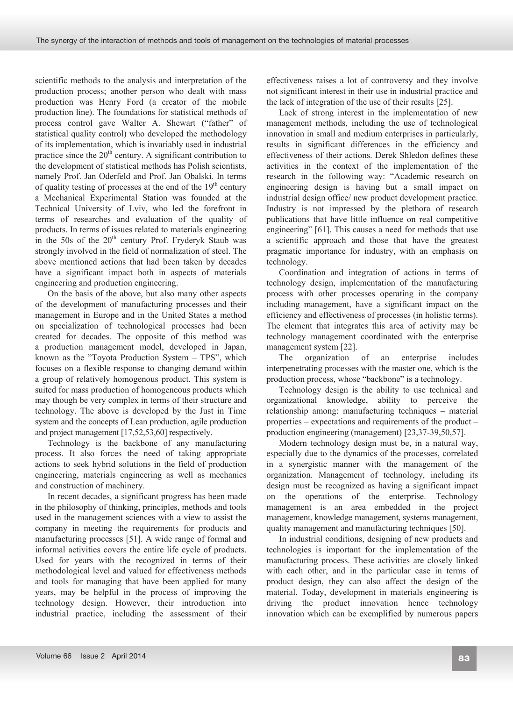scientific methods to the analysis and interpretation of the production process; another person who dealt with mass production was Henry Ford (a creator of the mobile production line). The foundations for statistical methods of process control gave Walter A. Shewart ("father" of statistical quality control) who developed the methodology of its implementation, which is invariably used in industrial practice since the  $20<sup>th</sup>$  century. A significant contribution to the development of statistical methods has Polish scientists, namely Prof. Jan Oderfeld and Prof. Jan Obalski. In terms of quality testing of processes at the end of the  $19<sup>th</sup>$  century a Mechanical Experimental Station was founded at the Technical University of Lviv, who led the forefront in terms of researches and evaluation of the quality of products. In terms of issues related to materials engineering in the 50s of the  $20<sup>th</sup>$  century Prof. Fryderyk Staub was strongly involved in the field of normalization of steel. The above mentioned actions that had been taken by decades have a significant impact both in aspects of materials engineering and production engineering.

On the basis of the above, but also many other aspects of the development of manufacturing processes and their management in Europe and in the United States a method on specialization of technological processes had been created for decades. The opposite of this method was a production management model, developed in Japan, known as the "Toyota Production System – TPS", which focuses on a flexible response to changing demand within a group of relatively homogenous product. This system is suited for mass production of homogeneous products which may though be very complex in terms of their structure and technology. The above is developed by the Just in Time system and the concepts of Lean production, agile production and project management [17,52,53,60] respectively.

Technology is the backbone of any manufacturing process. It also forces the need of taking appropriate actions to seek hybrid solutions in the field of production engineering, materials engineering as well as mechanics and construction of machinery.

In recent decades, a significant progress has been made in the philosophy of thinking, principles, methods and tools used in the management sciences with a view to assist the company in meeting the requirements for products and manufacturing processes [51]. A wide range of formal and informal activities covers the entire life cycle of products. Used for years with the recognized in terms of their methodological level and valued for effectiveness methods and tools for managing that have been applied for many years, may be helpful in the process of improving the technology design. However, their introduction into industrial practice, including the assessment of their effectiveness raises a lot of controversy and they involve not significant interest in their use in industrial practice and the lack of integration of the use of their results [25].

Lack of strong interest in the implementation of new management methods, including the use of technological innovation in small and medium enterprises in particularly, results in significant differences in the efficiency and effectiveness of their actions. Derek Shledon defines these activities in the context of the implementation of the research in the following way: "Academic research on engineering design is having but a small impact on industrial design office/ new product development practice. Industry is not impressed by the plethora of research publications that have little influence on real competitive engineering" [61]. This causes a need for methods that use a scientific approach and those that have the greatest pragmatic importance for industry, with an emphasis on technology.

Coordination and integration of actions in terms of technology design, implementation of the manufacturing process with other processes operating in the company including management, have a significant impact on the efficiency and effectiveness of processes (in holistic terms). The element that integrates this area of activity may be technology management coordinated with the enterprise management system [22].

The organization of an enterprise includes interpenetrating processes with the master one, which is the production process, whose "backbone" is a technology.

Technology design is the ability to use technical and organizational knowledge, ability to perceive the relationship among: manufacturing techniques – material properties – expectations and requirements of the product – production engineering (management) [23,37-39,50,57].

Modern technology design must be, in a natural way, especially due to the dynamics of the processes, correlated in a synergistic manner with the management of the organization. Management of technology, including its design must be recognized as having a significant impact on the operations of the enterprise. Technology management is an area embedded in the project management, knowledge management, systems management, quality management and manufacturing techniques [50].

In industrial conditions, designing of new products and technologies is important for the implementation of the manufacturing process. These activities are closely linked with each other, and in the particular case in terms of product design, they can also affect the design of the material. Today, development in materials engineering is driving the product innovation hence technology innovation which can be exemplified by numerous papers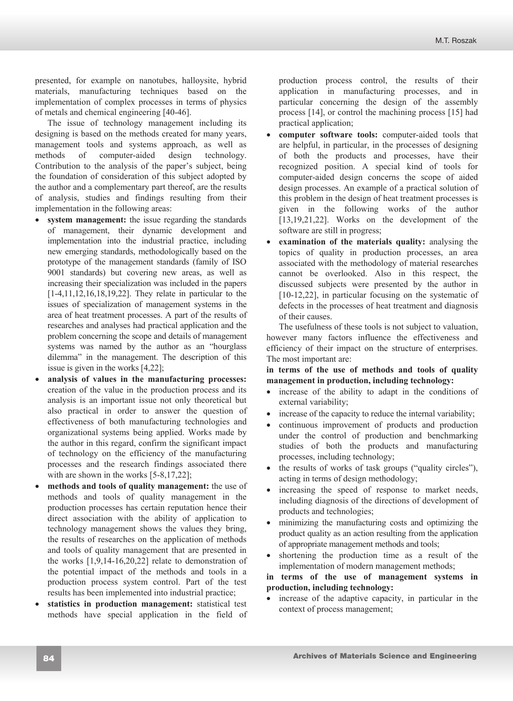presented, for example on nanotubes, halloysite, hybrid materials, manufacturing techniques based on the implementation of complex processes in terms of physics of metals and chemical engineering [40-46].

The issue of technology management including its designing is based on the methods created for many years, management tools and systems approach, as well as methods of computer-aided design technology. Contribution to the analysis of the paper's subject, being the foundation of consideration of this subject adopted by the author and a complementary part thereof, are the results of analysis, studies and findings resulting from their implementation in the following areas:

- **system management:** the issue regarding the standards of management, their dynamic development and implementation into the industrial practice, including new emerging standards, methodologically based on the prototype of the management standards (family of ISO 9001 standards) but covering new areas, as well as increasing their specialization was included in the papers [1-4,11,12,16,18,19,22]. They relate in particular to the issues of specialization of management systems in the area of heat treatment processes. A part of the results of researches and analyses had practical application and the problem concerning the scope and details of management systems was named by the author as an "hourglass dilemma" in the management. The description of this issue is given in the works [4,22];
- x **analysis of values in the manufacturing processes:**  creation of the value in the production process and its analysis is an important issue not only theoretical but also practical in order to answer the question of effectiveness of both manufacturing technologies and organizational systems being applied. Works made by the author in this regard, confirm the significant impact of technology on the efficiency of the manufacturing processes and the research findings associated there with are shown in the works [5-8,17,22];
- **methods and tools of quality management:** the use of methods and tools of quality management in the production processes has certain reputation hence their direct association with the ability of application to technology management shows the values they bring, the results of researches on the application of methods and tools of quality management that are presented in the works [1,9,14-16,20,22] relate to demonstration of the potential impact of the methods and tools in a production process system control. Part of the test results has been implemented into industrial practice;
- statistics in production management: statistical test methods have special application in the field of

production process control, the results of their application in manufacturing processes, and in particular concerning the design of the assembly process [14], or control the machining process [15] had practical application;

- computer software tools: computer-aided tools that are helpful, in particular, in the processes of designing of both the products and processes, have their recognized position. A special kind of tools for computer-aided design concerns the scope of aided design processes. An example of a practical solution of this problem in the design of heat treatment processes is given in the following works of the author [13,19,21,22]. Works on the development of the software are still in progress;
- x **examination of the materials quality:** analysing the topics of quality in production processes, an area associated with the methodology of material researches cannot be overlooked. Also in this respect, the discussed subjects were presented by the author in [10-12,22], in particular focusing on the systematic of defects in the processes of heat treatment and diagnosis of their causes.

The usefulness of these tools is not subject to valuation, however many factors influence the effectiveness and efficiency of their impact on the structure of enterprises. The most important are:

**in terms of the use of methods and tools of quality management in production, including technology:**

- increase of the ability to adapt in the conditions of external variability;
- increase of the capacity to reduce the internal variability;
- continuous improvement of products and production under the control of production and benchmarking studies of both the products and manufacturing processes, including technology;
- $\bullet$  the results of works of task groups ("quality circles"), acting in terms of design methodology;
- increasing the speed of response to market needs, including diagnosis of the directions of development of products and technologies;
- minimizing the manufacturing costs and optimizing the product quality as an action resulting from the application of appropriate management methods and tools;
- shortening the production time as a result of the implementation of modern management methods;

**in terms of the use of management systems in production, including technology:** 

increase of the adaptive capacity, in particular in the context of process management;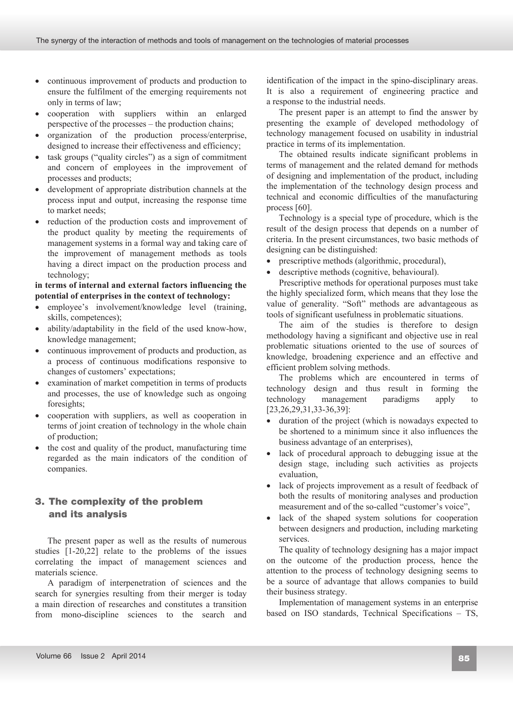- continuous improvement of products and production to ensure the fulfilment of the emerging requirements not only in terms of law;
- cooperation with suppliers within an enlarged perspective of the processes – the production chains;
- organization of the production process/enterprise, designed to increase their effectiveness and efficiency;
- $\bullet$  task groups ("quality circles") as a sign of commitment and concern of employees in the improvement of processes and products;
- development of appropriate distribution channels at the process input and output, increasing the response time to market needs;
- reduction of the production costs and improvement of the product quality by meeting the requirements of management systems in a formal way and taking care of the improvement of management methods as tools having a direct impact on the production process and technology;

#### **in terms of internal and external factors influencing the potential of enterprises in the context of technology:**

- employee's involvement/knowledge level (training, skills, competences);
- ability/adaptability in the field of the used know-how, knowledge management;
- continuous improvement of products and production, as a process of continuous modifications responsive to changes of customers' expectations;
- examination of market competition in terms of products and processes, the use of knowledge such as ongoing foresights;
- cooperation with suppliers, as well as cooperation in terms of joint creation of technology in the whole chain of production;
- the cost and quality of the product, manufacturing time regarded as the main indicators of the condition of companies.

# **3. The complexity of the problem and**  3. The complexity of the problem **its analysis** and its analysis

The present paper as well as the results of numerous studies [1-20,22] relate to the problems of the issues correlating the impact of management sciences and materials science.

A paradigm of interpenetration of sciences and the search for synergies resulting from their merger is today a main direction of researches and constitutes a transition from mono-discipline sciences to the search and

identification of the impact in the spino-disciplinary areas. It is also a requirement of engineering practice and a response to the industrial needs.

The present paper is an attempt to find the answer by presenting the example of developed methodology of technology management focused on usability in industrial practice in terms of its implementation.

The obtained results indicate significant problems in terms of management and the related demand for methods of designing and implementation of the product, including the implementation of the technology design process and technical and economic difficulties of the manufacturing process [60].

Technology is a special type of procedure, which is the result of the design process that depends on a number of criteria. In the present circumstances, two basic methods of designing can be distinguished:

- prescriptive methods (algorithmic, procedural),
- descriptive methods (cognitive, behavioural).

Prescriptive methods for operational purposes must take the highly specialized form, which means that they lose the value of generality. "Soft" methods are advantageous as tools of significant usefulness in problematic situations.

The aim of the studies is therefore to design methodology having a significant and objective use in real problematic situations oriented to the use of sources of knowledge, broadening experience and an effective and efficient problem solving methods.

The problems which are encountered in terms of technology design and thus result in forming the technology management paradigms apply to [23,26,29,31,33-36,39]:

- duration of the project (which is nowadays expected to be shortened to a minimum since it also influences the business advantage of an enterprises),
- lack of procedural approach to debugging issue at the design stage, including such activities as projects evaluation,
- lack of projects improvement as a result of feedback of both the results of monitoring analyses and production measurement and of the so-called "customer's voice",
- lack of the shaped system solutions for cooperation between designers and production, including marketing services.

The quality of technology designing has a major impact on the outcome of the production process, hence the attention to the process of technology designing seems to be a source of advantage that allows companies to build their business strategy.

Implementation of management systems in an enterprise based on ISO standards, Technical Specifications – TS,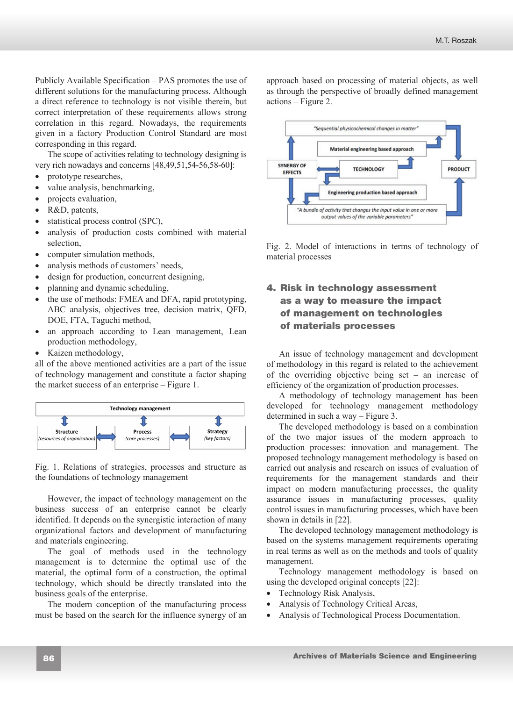Publicly Available Specification – PAS promotes the use of different solutions for the manufacturing process. Although a direct reference to technology is not visible therein, but correct interpretation of these requirements allows strong correlation in this regard. Nowadays, the requirements given in a factory Production Control Standard are most corresponding in this regard.

The scope of activities relating to technology designing is very rich nowadays and concerns [48,49,51,54-56,58-60]:

- prototype researches,
- value analysis, benchmarking,
- projects evaluation,
- R&D, patents,
- statistical process control (SPC),
- analysis of production costs combined with material selection,
- computer simulation methods,
- analysis methods of customers' needs,
- design for production, concurrent designing,
- planning and dynamic scheduling,
- the use of methods: FMEA and DFA, rapid prototyping, ABC analysis, objectives tree, decision matrix, QFD, DOE, FTA, Taguchi method,
- an approach according to Lean management, Lean production methodology,
- $\bullet$  Kaizen methodology,

all of the above mentioned activities are a part of the issue of technology management and constitute a factor shaping the market success of an enterprise – Figure 1.



Fig. 1. Relations of strategies, processes and structure as the foundations of technology management

However, the impact of technology management on the business success of an enterprise cannot be clearly identified. It depends on the synergistic interaction of many organizational factors and development of manufacturing and materials engineering.

The goal of methods used in the technology management is to determine the optimal use of the material, the optimal form of a construction, the optimal technology, which should be directly translated into the business goals of the enterprise.

The modern conception of the manufacturing process must be based on the search for the influence synergy of an approach based on processing of material objects, as well as through the perspective of broadly defined management actions – Figure 2.



Fig. 2. Model of interactions in terms of technology of material processes

# **4. Risk in technology assessment as a**  4. Risk in technology assessment **way to measure the impact of**  as a way to measure the impact of management on technologies **materials processes** of materials processes

An issue of technology management and development of methodology in this regard is related to the achievement of the overriding objective being set – an increase of efficiency of the organization of production processes.

A methodology of technology management has been developed for technology management methodology determined in such a way – Figure 3.

The developed methodology is based on a combination of the two major issues of the modern approach to production processes: innovation and management. The proposed technology management methodology is based on carried out analysis and research on issues of evaluation of requirements for the management standards and their impact on modern manufacturing processes, the quality assurance issues in manufacturing processes, quality control issues in manufacturing processes, which have been shown in details in [22].

The developed technology management methodology is based on the systems management requirements operating in real terms as well as on the methods and tools of quality management.

Technology management methodology is based on using the developed original concepts [22]:

- Technology Risk Analysis.
- Analysis of Technology Critical Areas,
- Analysis of Technological Process Documentation.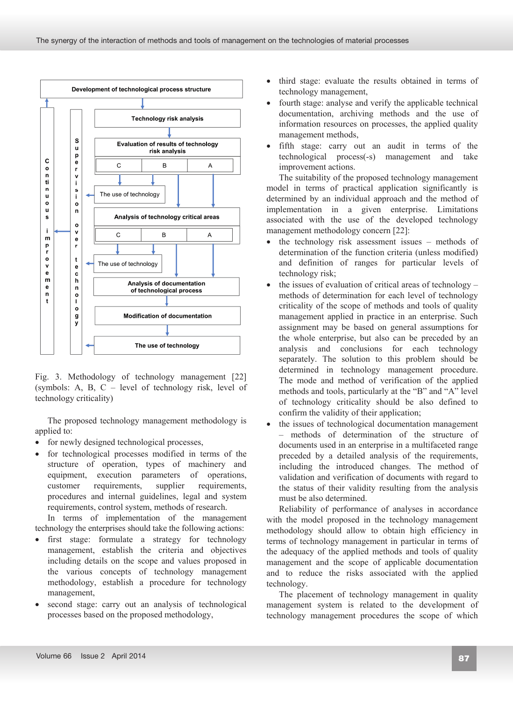

Fig. 3. Methodology of technology management [22] (symbols: A, B, C – level of technology risk, level of technology criticality)

The proposed technology management methodology is applied to:

- for newly designed technological processes,
- for technological processes modified in terms of the structure of operation, types of machinery and equipment, execution parameters of operations, customer requirements, supplier requirements, procedures and internal guidelines, legal and system requirements, control system, methods of research.

In terms of implementation of the management technology the enterprises should take the following actions:

- first stage: formulate a strategy for technology management, establish the criteria and objectives including details on the scope and values proposed in the various concepts of technology management methodology, establish a procedure for technology management,
- second stage: carry out an analysis of technological processes based on the proposed methodology,
- third stage: evaluate the results obtained in terms of technology management,
- fourth stage: analyse and verify the applicable technical documentation, archiving methods and the use of information resources on processes, the applied quality management methods,
- fifth stage: carry out an audit in terms of the technological process(-s) management and take improvement actions.

The suitability of the proposed technology management model in terms of practical application significantly is determined by an individual approach and the method of implementation in a given enterprise. Limitations associated with the use of the developed technology management methodology concern [22]:

- the technology risk assessment issues methods of determination of the function criteria (unless modified) and definition of ranges for particular levels of technology risk;
- the issues of evaluation of critical areas of technology methods of determination for each level of technology criticality of the scope of methods and tools of quality management applied in practice in an enterprise. Such assignment may be based on general assumptions for the whole enterprise, but also can be preceded by an analysis and conclusions for each technology separately. The solution to this problem should be determined in technology management procedure. The mode and method of verification of the applied methods and tools, particularly at the "B" and "A" level of technology criticality should be also defined to confirm the validity of their application;
- the issues of technological documentation management – methods of determination of the structure of documents used in an enterprise in a multifaceted range preceded by a detailed analysis of the requirements, including the introduced changes. The method of validation and verification of documents with regard to the status of their validity resulting from the analysis must be also determined.

Reliability of performance of analyses in accordance with the model proposed in the technology management methodology should allow to obtain high efficiency in terms of technology management in particular in terms of the adequacy of the applied methods and tools of quality management and the scope of applicable documentation and to reduce the risks associated with the applied technology.

The placement of technology management in quality management system is related to the development of technology management procedures the scope of which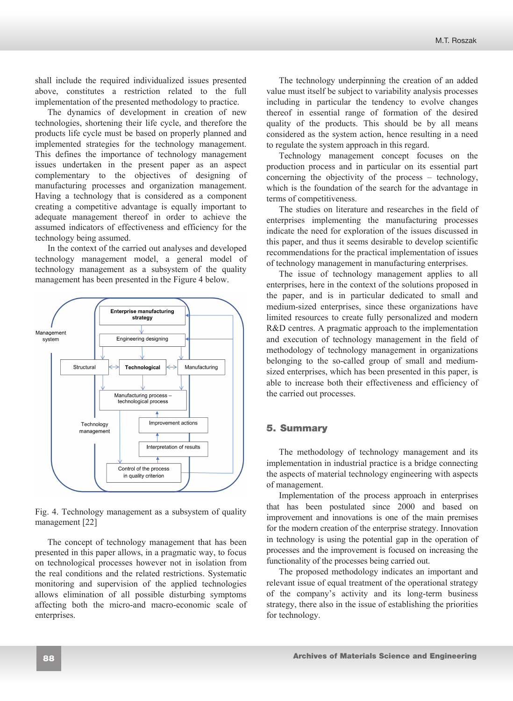shall include the required individualized issues presented above, constitutes a restriction related to the full implementation of the presented methodology to practice.

The dynamics of development in creation of new technologies, shortening their life cycle, and therefore the products life cycle must be based on properly planned and implemented strategies for the technology management. This defines the importance of technology management issues undertaken in the present paper as an aspect complementary to the objectives of designing of manufacturing processes and organization management. Having a technology that is considered as a component creating a competitive advantage is equally important to adequate management thereof in order to achieve the assumed indicators of effectiveness and efficiency for the technology being assumed.

In the context of the carried out analyses and developed technology management model, a general model of technology management as a subsystem of the quality management has been presented in the Figure 4 below.



Fig. 4. Technology management as a subsystem of quality management [22]

The concept of technology management that has been presented in this paper allows, in a pragmatic way, to focus on technological processes however not in isolation from the real conditions and the related restrictions. Systematic monitoring and supervision of the applied technologies allows elimination of all possible disturbing symptoms affecting both the micro-and macro-economic scale of enterprises.

The technology underpinning the creation of an added value must itself be subject to variability analysis processes including in particular the tendency to evolve changes thereof in essential range of formation of the desired quality of the products. This should be by all means considered as the system action, hence resulting in a need to regulate the system approach in this regard.

Technology management concept focuses on the production process and in particular on its essential part concerning the objectivity of the process – technology, which is the foundation of the search for the advantage in terms of competitiveness.

The studies on literature and researches in the field of enterprises implementing the manufacturing processes indicate the need for exploration of the issues discussed in this paper, and thus it seems desirable to develop scientific recommendations for the practical implementation of issues of technology management in manufacturing enterprises.

The issue of technology management applies to all enterprises, here in the context of the solutions proposed in the paper, and is in particular dedicated to small and medium-sized enterprises, since these organizations have limited resources to create fully personalized and modern R&D centres. A pragmatic approach to the implementation and execution of technology management in the field of methodology of technology management in organizations belonging to the so-called group of small and mediumsized enterprises, which has been presented in this paper, is able to increase both their effectiveness and efficiency of the carried out processes.

# **5. Summary** 5. Summary

The methodology of technology management and its implementation in industrial practice is a bridge connecting the aspects of material technology engineering with aspects of management.

Implementation of the process approach in enterprises that has been postulated since 2000 and based on improvement and innovations is one of the main premises for the modern creation of the enterprise strategy. Innovation in technology is using the potential gap in the operation of processes and the improvement is focused on increasing the functionality of the processes being carried out.

The proposed methodology indicates an important and relevant issue of equal treatment of the operational strategy of the company's activity and its long-term business strategy, there also in the issue of establishing the priorities for technology.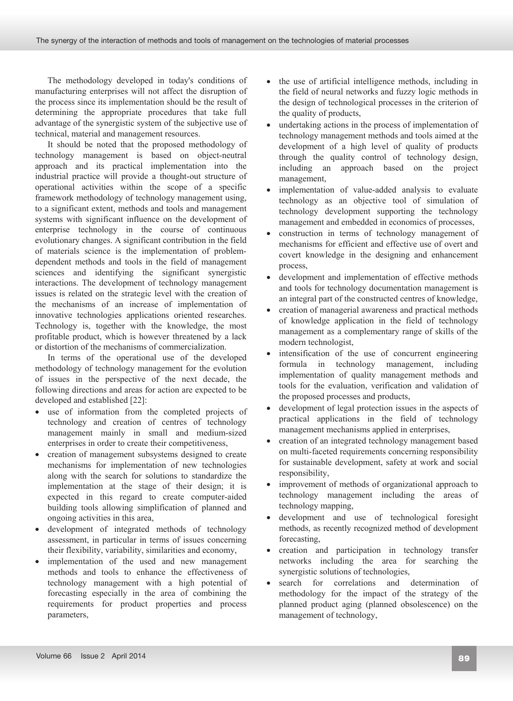The methodology developed in today's conditions of manufacturing enterprises will not affect the disruption of the process since its implementation should be the result of determining the appropriate procedures that take full advantage of the synergistic system of the subjective use of technical, material and management resources.

It should be noted that the proposed methodology of technology management is based on object-neutral approach and its practical implementation into the industrial practice will provide a thought-out structure of operational activities within the scope of a specific framework methodology of technology management using, to a significant extent, methods and tools and management systems with significant influence on the development of enterprise technology in the course of continuous evolutionary changes. A significant contribution in the field of materials science is the implementation of problemdependent methods and tools in the field of management sciences and identifying the significant synergistic interactions. The development of technology management issues is related on the strategic level with the creation of the mechanisms of an increase of implementation of innovative technologies applications oriented researches. Technology is, together with the knowledge, the most profitable product, which is however threatened by a lack or distortion of the mechanisms of commercialization.

In terms of the operational use of the developed methodology of technology management for the evolution of issues in the perspective of the next decade, the following directions and areas for action are expected to be developed and established [22]:

- use of information from the completed projects of technology and creation of centres of technology management mainly in small and medium-sized enterprises in order to create their competitiveness,
- creation of management subsystems designed to create mechanisms for implementation of new technologies along with the search for solutions to standardize the implementation at the stage of their design; it is expected in this regard to create computer-aided building tools allowing simplification of planned and ongoing activities in this area,
- development of integrated methods of technology assessment, in particular in terms of issues concerning their flexibility, variability, similarities and economy,
- implementation of the used and new management methods and tools to enhance the effectiveness of technology management with a high potential of forecasting especially in the area of combining the requirements for product properties and process parameters,
- the use of artificial intelligence methods, including in the field of neural networks and fuzzy logic methods in the design of technological processes in the criterion of the quality of products,
- undertaking actions in the process of implementation of technology management methods and tools aimed at the development of a high level of quality of products through the quality control of technology design, including an approach based on the project management,
- implementation of value-added analysis to evaluate technology as an objective tool of simulation of technology development supporting the technology management and embedded in economics of processes,
- construction in terms of technology management of mechanisms for efficient and effective use of overt and covert knowledge in the designing and enhancement process,
- development and implementation of effective methods and tools for technology documentation management is an integral part of the constructed centres of knowledge,
- creation of managerial awareness and practical methods of knowledge application in the field of technology management as a complementary range of skills of the modern technologist,
- intensification of the use of concurrent engineering formula in technology management, including implementation of quality management methods and tools for the evaluation, verification and validation of the proposed processes and products,
- development of legal protection issues in the aspects of practical applications in the field of technology management mechanisms applied in enterprises,
- creation of an integrated technology management based on multi-faceted requirements concerning responsibility for sustainable development, safety at work and social responsibility,
- improvement of methods of organizational approach to technology management including the areas of technology mapping,
- development and use of technological foresight methods, as recently recognized method of development forecasting,
- creation and participation in technology transfer networks including the area for searching the synergistic solutions of technologies,
- x search for correlations and determination of methodology for the impact of the strategy of the planned product aging (planned obsolescence) on the management of technology,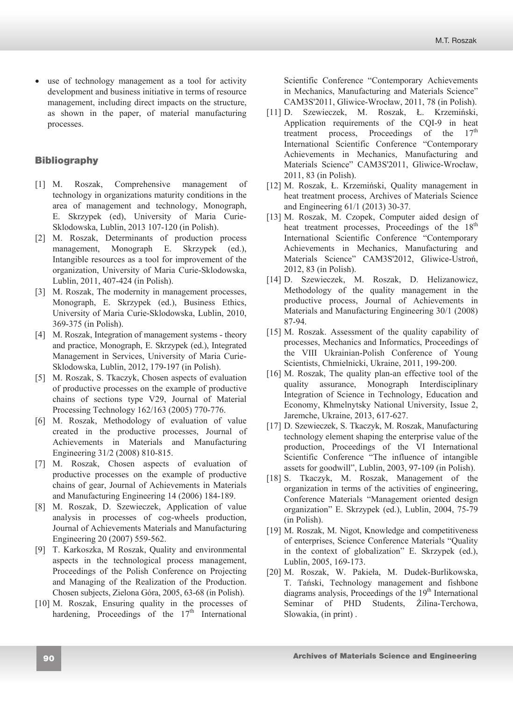• use of technology management as a tool for activity development and business initiative in terms of resource management, including direct impacts on the structure, as shown in the paper, of material manufacturing processes.

# **Bibliography** Bibliography

- [1] M. Roszak, Comprehensive management of technology in organizations maturity conditions in the area of management and technology, Monograph, E. Skrzypek (ed), University of Maria Curie-Sklodowska, Lublin, 2013 107-120 (in Polish).
- [2] M. Roszak, Determinants of production process management, Monograph E. Skrzypek (ed.), Intangible resources as a tool for improvement of the organization, University of Maria Curie-Sklodowska, Lublin, 2011, 407-424 (in Polish).
- [3] M. Roszak, The modernity in management processes, Monograph, E. Skrzypek (ed.), Business Ethics, University of Maria Curie-Sklodowska, Lublin, 2010, 369-375 (in Polish).
- [4] M. Roszak, Integration of management systems theory and practice, Monograph, E. Skrzypek (ed.), Integrated Management in Services, University of Maria Curie-Sklodowska, Lublin, 2012, 179-197 (in Polish).
- [5] M. Roszak, S. Tkaczyk, Chosen aspects of evaluation of productive processes on the example of productive chains of sections type V29, Journal of Material Processing Technology 162/163 (2005) 770-776.
- [6] M. Roszak, Methodology of evaluation of value created in the productive processes, Journal of Achievements in Materials and Manufacturing Engineering 31/2 (2008) 810-815.
- [7] M. Roszak, Chosen aspects of evaluation of productive processes on the example of productive chains of gear, Journal of Achievements in Materials and Manufacturing Engineering 14 (2006) 184-189.
- [8] M. Roszak, D. Szewieczek, Application of value analysis in processes of cog-wheels production, Journal of Achievements Materials and Manufacturing Engineering 20 (2007) 559-562.
- [9] T. Karkoszka, M Roszak, Quality and environmental aspects in the technological process management, Proceedings of the Polish Conference on Projecting and Managing of the Realization of the Production. Chosen subjects, Zielona Góra, 2005, 63-68 (in Polish).
- [10] M. Roszak, Ensuring quality in the processes of hardening, Proceedings of the  $17<sup>th</sup>$  International

Scientific Conference "Contemporary Achievements in Mechanics, Manufacturing and Materials Science" CAM3S'2011, Gliwice-Wrocáaw, 2011, 78 (in Polish).

- [11] D. Szewieczek, M. Roszak, Ł. Krzemiński, Application requirements of the CQI-9 in heat treatment process, Proceedings of the  $17<sup>th</sup>$ International Scientific Conference "Contemporary Achievements in Mechanics, Manufacturing and Materials Science" CAM3S'2011, Gliwice-Wrocáaw, 2011, 83 (in Polish).
- [12] M. Roszak, Ł. Krzemiński, Quality management in heat treatment process, Archives of Materials Science and Engineering 61/1 (2013) 30-37.
- [13] M. Roszak, M. Czopek, Computer aided design of heat treatment processes, Proceedings of the 18<sup>th</sup> International Scientific Conference "Contemporary Achievements in Mechanics, Manufacturing and Materials Science" CAM3S'2012, Gliwice-Ustroń, 2012, 83 (in Polish).
- [14] D. Szewieczek, M. Roszak, D. Helizanowicz, Methodology of the quality management in the productive process, Journal of Achievements in Materials and Manufacturing Engineering 30/1 (2008) 87-94.
- [15] M. Roszak. Assessment of the quality capability of processes, Mechanics and Informatics, Proceedings of the VIII Ukrainian-Polish Conference of Young Scientists, Chmielnicki, Ukraine, 2011, 199-200.
- [16] M. Roszak, The quality plan-an effective tool of the quality assurance, Monograph Interdisciplinary Integration of Science in Technology, Education and Economy, Khmelnytsky National University, Issue 2, Jaremche, Ukraine, 2013, 617-627.
- [17] D. Szewieczek, S. Tkaczyk, M. Roszak, Manufacturing technology element shaping the enterprise value of the production, Proceedings of the VI International Scientific Conference "The influence of intangible assets for goodwill", Lublin, 2003, 97-109 (in Polish).
- [18] S. Tkaczyk, M. Roszak, Management of the organization in terms of the activities of engineering, Conference Materials "Management oriented design organization" E. Skrzypek (ed.), Lublin, 2004, 75-79 (in Polish).
- [19] M. Roszak, M. Nigot, Knowledge and competitiveness of enterprises, Science Conference Materials "Quality in the context of globalization" E. Skrzypek (ed.), Lublin, 2005, 169-173.
- [20] M. Roszak, W. Pakieáa, M. Dudek-Burlikowska, T. Tański, Technology management and fishbone diagrams analysis, Proceedings of the  $19<sup>th</sup>$  International Seminar of PHD Students, Żilina-Terchowa, Slowakia, (in print) .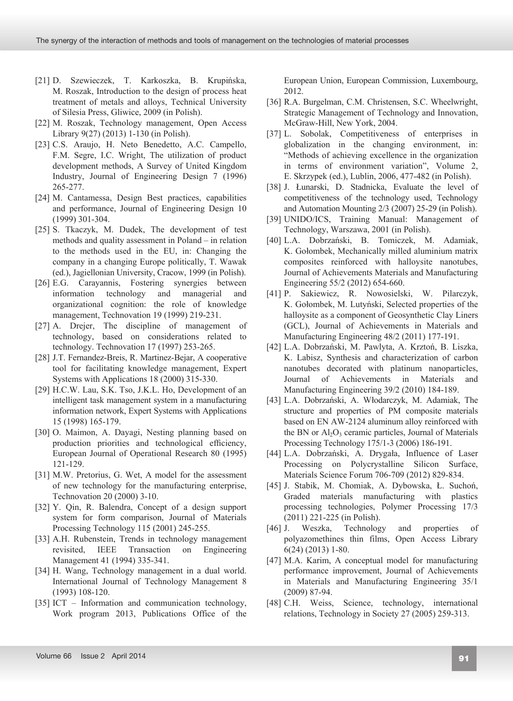- [21] D. Szewieczek, T. Karkoszka, B. Krupińska, M. Roszak, Introduction to the design of process heat treatment of metals and alloys, Technical University of Silesia Press, Gliwice, 2009 (in Polish).
- [22] M. Roszak, Technology management, Open Access Library 9(27) (2013) 1-130 (in Polish).
- [23] C.S. Araujo, H. Neto Benedetto, A.C. Campello, F.M. Segre, I.C. Wright, The utilization of product development methods, A Survey of United Kingdom Industry, Journal of Engineering Design 7 (1996) 265-277.
- [24] M. Cantamessa, Design Best practices, capabilities and performance, Journal of Engineering Design 10 (1999) 301-304.
- [25] S. Tkaczyk, M. Dudek, The development of test methods and quality assessment in Poland – in relation to the methods used in the EU, in: Changing the company in a changing Europe politically, T. Wawak (ed.), Jagiellonian University, Cracow, 1999 (in Polish).
- [26] E.G. Carayannis, Fostering synergies between information technology and managerial and organizational cognition: the role of knowledge management, Technovation 19 (1999) 219-231.
- [27] A. Drejer, The discipline of management of technology, based on considerations related to technology. Technovation 17 (1997) 253-265.
- [28] J.T. Fernandez-Breis, R. Martinez-Bejar, A cooperative tool for facilitating knowledge management, Expert Systems with Applications 18 (2000) 315-330.
- [29] H.C.W. Lau, S.K. Tso, J.K.L. Ho, Development of an intelligent task management system in a manufacturing information network, Expert Systems with Applications 15 (1998) 165-179.
- [30] O. Maimon, A. Dayagi, Nesting planning based on production priorities and technological efficiency, European Journal of Operational Research 80 (1995) 121-129.
- [31] M.W. Pretorius, G. Wet, A model for the assessment of new technology for the manufacturing enterprise, Technovation 20 (2000) 3-10.
- [32] Y. Qin, R. Balendra, Concept of a design support system for form comparison, Journal of Materials Processing Technology 115 (2001) 245-255.
- [33] A.H. Rubenstein, Trends in technology management revisited, IEEE Transaction on Engineering Management 41 (1994) 335-341.
- [34] H. Wang, Technology management in a dual world. International Journal of Technology Management 8 (1993) 108-120.
- [35] ICT Information and communication technology, Work program 2013, Publications Office of the

European Union, European Commission, Luxembourg, 2012.

- [36] R.A. Burgelman, C.M. Christensen, S.C. Wheelwright, Strategic Management of Technology and Innovation, McGraw-Hill, New York, 2004.
- [37] L. Sobolak, Competitiveness of enterprises in globalization in the changing environment, in: "Methods of achieving excellence in the organization in terms of environment variation", Volume 2, E. Skrzypek (ed.), Lublin, 2006, 477-482 (in Polish).
- [38] J. Łunarski, D. Stadnicka, Evaluate the level of competitiveness of the technology used, Technology and Automation Mounting 2/3 (2007) 25-29 (in Polish).
- [39] UNIDO/ICS, Training Manual: Management of Technology, Warszawa, 2001 (in Polish).
- [40] L.A. Dobrzański, B. Tomiczek, M. Adamiak, K. Gołombek, Mechanically milled aluminium matrix composites reinforced with halloysite nanotubes, Journal of Achievements Materials and Manufacturing Engineering 55/2 (2012) 654-660.
- [41] P. Sakiewicz, R. Nowosielski, W. Pilarczyk, K. Gołombek, M. Lutyński, Selected properties of the halloysite as a component of Geosynthetic Clay Liners (GCL), Journal of Achievements in Materials and Manufacturing Engineering 48/2 (2011) 177-191.
- [42] L.A. Dobrzański, M. Pawlyta, A. Krztoń, B. Liszka, K. Labisz, Synthesis and characterization of carbon nanotubes decorated with platinum nanoparticles, Journal of Achievements in Materials and Manufacturing Engineering 39/2 (2010) 184-189.
- [43] L.A. Dobrzański, A. Włodarczyk, M. Adamiak, The structure and properties of PM composite materials based on EN AW-2124 aluminum alloy reinforced with the BN or  $Al_2O_3$  ceramic particles, Journal of Materials Processing Technology 175/1-3 (2006) 186-191.
- [44] L.A. Dobrzański, A. Drygała, Influence of Laser Processing on Polycrystalline Silicon Surface, Materials Science Forum 706-709 (2012) 829-834.
- [45] J. Stabik, M. Chomiak, A. Dybowska, Ł. Suchoń, Graded materials manufacturing with plastics processing technologies, Polymer Processing 17/3 (2011) 221-225 (in Polish).
- [46] J. Weszka, Technology and properties of polyazomethines thin films, Open Access Library 6(24) (2013) 1-80.
- [47] M.A. Karim, A conceptual model for manufacturing performance improvement, Journal of Achievements in Materials and Manufacturing Engineering 35/1 (2009) 87-94.
- [48] C.H. Weiss, Science, technology, international relations, Technology in Society 27 (2005) 259-313.